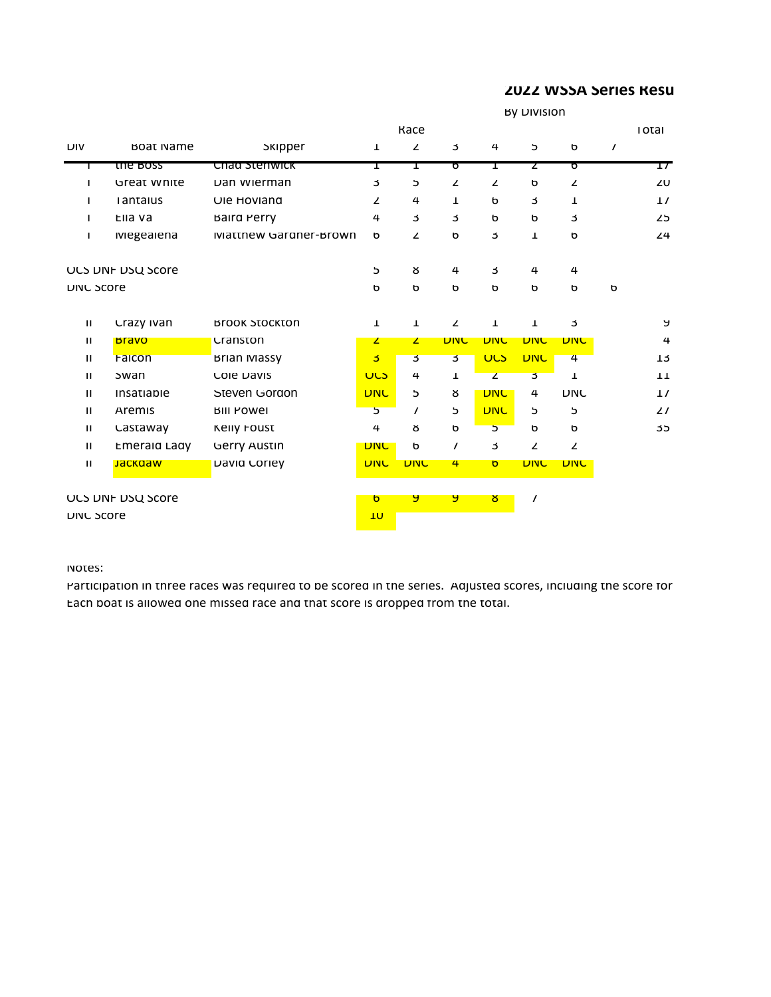## **2022 WSSA Series Results**

|                     |                              | <b>By DIVISION</b> |              |              |              |              |                |          |              |  |
|---------------------|------------------------------|--------------------|--------------|--------------|--------------|--------------|----------------|----------|--------------|--|
|                     |                              | <b>Kace</b>        |              |              |              |              |                | тотаг    |              |  |
| <b>BOAT INAITIE</b> | экіррег                      | T                  | $\mathbf{z}$ | J            | 4            | $\mathsf b$  | O              | $\prime$ |              |  |
| the Boss            | Chad Stenwick                | T                  | T            | ᢐ            | T            | z            | ঢ়             |          | 17           |  |
| Great white         | Dan wierman                  | 3                  | э            | $\mathbf{z}$ | $\mathbf{z}$ | р            | z              |          | 20           |  |
| rantaius            | Ule Hoviand                  | z                  | 4            | T            | р            | 3            | ı              |          | $\mathbf{1}$ |  |
| Ella va             | Baird Perry                  | 4                  | 3            | 3            | р            | р            | 3              |          | 25           |  |
| <b>Megealena</b>    | <b>Matthew Gardner-Brown</b> | р                  | $\mathbf{z}$ | ь            | 3            | Т            | ь              |          | 24           |  |
| ULS DNF DSU SCOTE   |                              | 5                  | ୪            | 4            | 3            | 4            | 4              |          |              |  |
| <b>DINC SCOTE</b>   |                              | ь                  | ь            | ь            | р            | р            | р              | ь        |              |  |
| Crazy Ivan          | <b>Brook Stockton</b>        | Т                  | $\mathbf{T}$ | $\mathbf{z}$ | Т            | $\mathbf 1$  | 3              |          | У            |  |
| <b>Bravo</b>        | Cranston                     | $\mathbf{z}$       | $\mathbf{z}$ | <b>DINC</b>  | <b>DINC</b>  | <b>DINC</b>  | <b>DINC</b>    |          | 4            |  |
| <b>Falcon</b>       | Brian Massy                  | 3                  | 3            | 3            | ULS          | <b>DINC</b>  | $\overline{4}$ |          | 13           |  |
| swan                | <b>COIE DAVIS</b>            | <b>ULS</b>         | 4            | Т            | $\mathbf{z}$ | 3            | ı              |          | 11           |  |
| <b>Insatiable</b>   | Steven Gordon                | <b>DINC</b>        | Ь            | ୪            | <b>DINC</b>  | 4            | <b>DIAC</b>    |          | 11           |  |
| Aremis              | <b>BIII POWEI</b>            | 5                  | $\prime$     | Ь            | <b>DINC</b>  | Ь            | э              |          | 21           |  |
| Castaway            | Kelly Foust                  | 4                  | 8            | $\mathbf b$  | 5            | $\mathbf b$  | р              |          | 35           |  |
| Emeraid Lady        | <b>Gerry Austin</b>          | <b>DINC</b>        | b            | $\prime$     | 3            | $\mathbf{z}$ | $\mathbf{z}$   |          |              |  |
| Jackdaw             | David Corley                 | <b>DINC</b>        | <b>DINC</b>  | 4            | b            | <b>DINC</b>  | <b>DINC</b>    |          |              |  |
| ULS DINF DSU SCOTE  |                              | $\sigma$           | P.           | У            | ŏ            | $\prime$     |                |          |              |  |
| <b>DINC SCOTE</b>   |                              | 10                 |              |              |              |              |                |          |              |  |
|                     |                              |                    |              |              |              |              |                |          |              |  |

Notes:

Participation in three races was required to be scored in the series. Adjusted scores, including the score for Each boat is allowed one missed race and that score is dropped from the total.